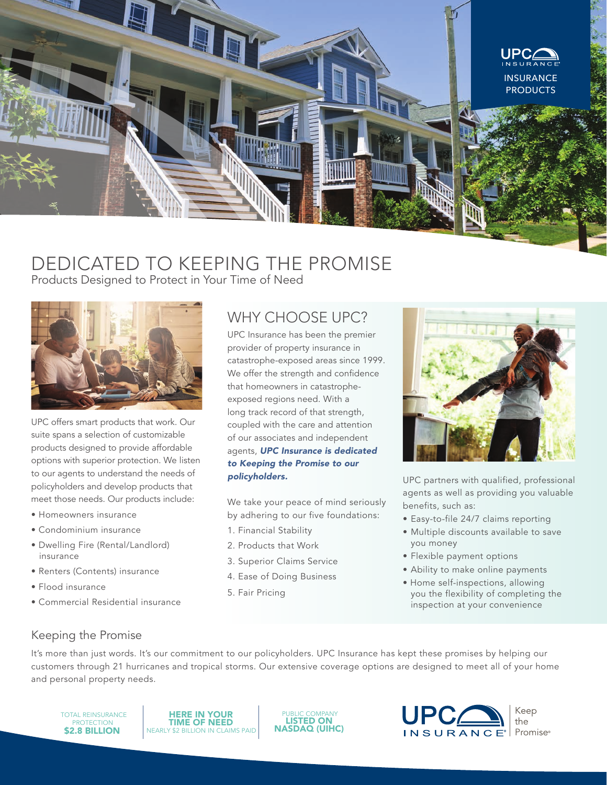

# DEDICATED TO KEEPING THE PROMISE Products Designed to Protect in Your Time of Need



UPC offers smart products that work. Our suite spans a selection of customizable products designed to provide affordable options with superior protection. We listen to our agents to understand the needs of policyholders and develop products that meet those needs. Our products include:

- Homeowners insurance
- Condominium insurance
- Dwelling Fire (Rental/Landlord) insurance
- Renters (Contents) insurance
- Flood insurance
- Commercial Residential insurance

# WHY CHOOSE UPC?

UPC Insurance has been the premier provider of property insurance in catastrophe-exposed areas since 1999. We offer the strength and confidence that homeowners in catastropheexposed regions need. With a long track record of that strength, coupled with the care and attention of our associates and independent agents, *UPC Insurance is dedicated to Keeping the Promise to our policyholders.*

We take your peace of mind seriously by adhering to our five foundations:

- 1. Financial Stability
- 2. Products that Work
- 3. Superior Claims Service
- 4. Ease of Doing Business
- 5. Fair Pricing



UPC partners with qualified, professional agents as well as providing you valuable benefits, such as:

- Easy-to-file 24/7 claims reporting
- Multiple discounts available to save you money
- Flexible payment options
- Ability to make online payments
- Home self-inspections, allowing you the flexibility of completing the inspection at your convenience

#### Keeping the Promise

It's more than just words. It's our commitment to our policyholders. UPC Insurance has kept these promises by helping our customers through 21 hurricanes and tropical storms. Our extensive coverage options are designed to meet all of your home and personal property needs.

TOTAL REINSURANCE PROTECTION<br>**\$2.8 BILLION** 

HERE IN YOUR TIME OF NEED NEARLY \$2 BILLION IN CLAIMS PAID

PUBLIC COMPANY NASDAQ (UIHC)